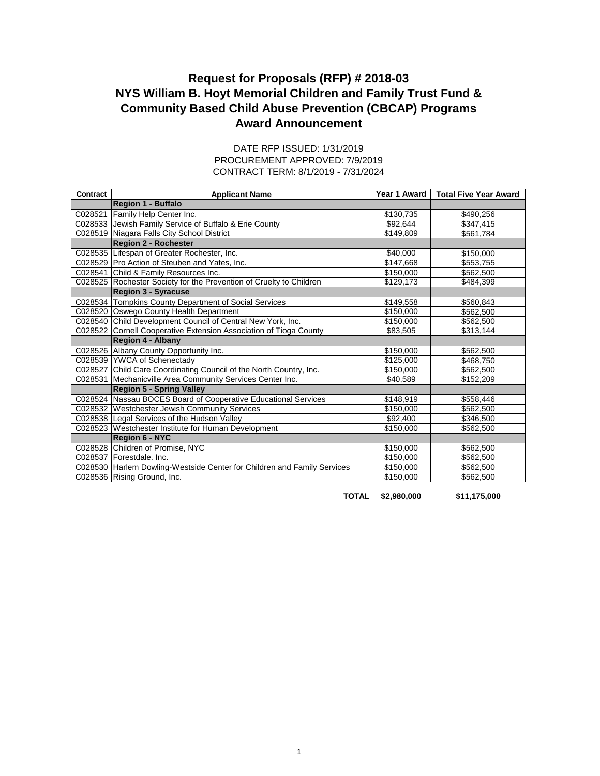## **Award Announcement Request for Proposals (RFP) # 2018-03 NYS William B. Hoyt Memorial Children and Family Trust Fund & Community Based Child Abuse Prevention (CBCAP) Programs**

| Contract | <b>Applicant Name</b>                                           |           | Year 1 Award   Total Five Year Award |
|----------|-----------------------------------------------------------------|-----------|--------------------------------------|
|          | Region 1 - Buffalo                                              |           |                                      |
| C028521  | Family Help Center Inc.                                         | \$130,735 | \$490,256                            |
|          | C028533 Jewish Family Service of Buffalo & Erie County          | \$92,644  | \$347,415                            |
| C028519  | Niagara Falls City School District                              | \$149,809 | \$561,784                            |
|          | <b>Region 2 - Rochester</b>                                     |           |                                      |
|          | C028535 Lifespan of Greater Rochester, Inc.                     | \$40,000  | \$150,000                            |
| C028529  | Pro Action of Steuben and Yates, Inc.                           | \$147,668 | \$553,755                            |
| C028541  | Child & Family Resources Inc.                                   | \$150,000 | \$562,500                            |
| C028525  | Rochester Society for the Prevention of Cruelty to Children     | \$129,173 | \$484,399                            |
|          | <b>Region 3 - Syracuse</b>                                      |           |                                      |
| C028534  | Tompkins County Department of Social Services                   | \$149,558 | \$560,843                            |
| C028520  | Oswego County Health Department                                 | \$150,000 | \$562,500                            |
| C028540  | Child Development Council of Central New York, Inc.             | \$150,000 | \$562,500                            |
| C028522  | Cornell Cooperative Extension Association of Tioga County       | \$83,505  | \$313,144                            |
|          | <b>Region 4 - Albany</b>                                        |           |                                      |
|          | C028526 Albany County Opportunity Inc.                          | \$150,000 | \$562,500                            |
|          | C028539 YWCA of Schenectady                                     | \$125,000 | \$468,750                            |
| C028527  | Child Care Coordinating Council of the North Country, Inc.      | \$150,000 | \$562,500                            |
| C028531  | Mechanicville Area Community Services Center Inc.               | \$40,589  | \$152,209                            |
|          | <b>Region 5 - Spring Valley</b>                                 |           |                                      |
| C028524  | Nassau BOCES Board of Cooperative Educational Services          | \$148,919 | \$558,446                            |
| C028532  | <b>Westchester Jewish Community Services</b>                    | \$150,000 | \$562,500                            |
|          | C028538 Legal Services of the Hudson Valley                     | \$92,400  | \$346,500                            |
| C028523  | Westchester Institute for Human Development                     | \$150,000 | \$562,500                            |
|          | <b>Region 6 - NYC</b>                                           |           |                                      |
| C028528  | Children of Promise, NYC                                        | \$150,000 | \$562,500                            |
| C028537  | Forestdale, Inc.                                                | \$150,000 | \$562,500                            |
| C028530  | Harlem Dowling-Westside Center for Children and Family Services | \$150,000 | \$562,500                            |
|          | C028536 Rising Ground, Inc.                                     | \$150,000 | \$562,500                            |

## CONTRACT TERM: 8/1/2019 - 7/31/2024 DATE RFP ISSUED: 1/31/2019 PROCUREMENT APPROVED: 7/9/2019

**TOTAL \$2,980,000 \$11,175,000**